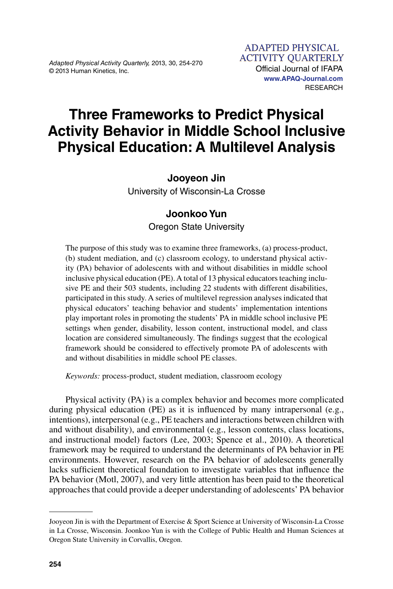*Adapted Physical Activity Quarterly,* 2013, 30, 254-270 © 2013 Human Kinetics, Inc. [Official Journal of IFAPA](http://www.ifapa.biz)

# **Three Frameworks to Predict Physical Activity Behavior in Middle School Inclusive Physical Education: A Multilevel Analysis**

#### **Jooyeon Jin**

University of Wisconsin-La Crosse

#### **Joonkoo Yun**

Oregon State University

The purpose of this study was to examine three frameworks, (a) process-product, (b) student mediation, and (c) classroom ecology, to understand physical activity (PA) behavior of adolescents with and without disabilities in middle school inclusive physical education (PE). A total of 13 physical educators teaching inclusive PE and their 503 students, including 22 students with different disabilities, participated in this study. A series of multilevel regression analyses indicated that physical educators' teaching behavior and students' implementation intentions play important roles in promoting the students' PA in middle school inclusive PE settings when gender, disability, lesson content, instructional model, and class location are considered simultaneously. The findings suggest that the ecological framework should be considered to effectively promote PA of adolescents with and without disabilities in middle school PE classes.

*Keywords:* process-product, student mediation, classroom ecology

Physical activity (PA) is a complex behavior and becomes more complicated during physical education (PE) as it is influenced by many intrapersonal (e.g., intentions), interpersonal (e.g., PE teachers and interactions between children with and without disability), and environmental (e.g., lesson contents, class locations, and instructional model) factors (Lee, 2003; Spence et al., 2010). A theoretical framework may be required to understand the determinants of PA behavior in PE environments. However, research on the PA behavior of adolescents generally lacks sufficient theoretical foundation to investigate variables that influence the PA behavior (Motl, 2007), and very little attention has been paid to the theoretical approaches that could provide a deeper understanding of adolescents' PA behavior

Jooyeon Jin is with the Department of Exercise & Sport Science at University of Wisconsin-La Crosse in La Crosse, Wisconsin. Joonkoo Yun is with the College of Public Health and Human Sciences at Oregon State University in Corvallis, Oregon.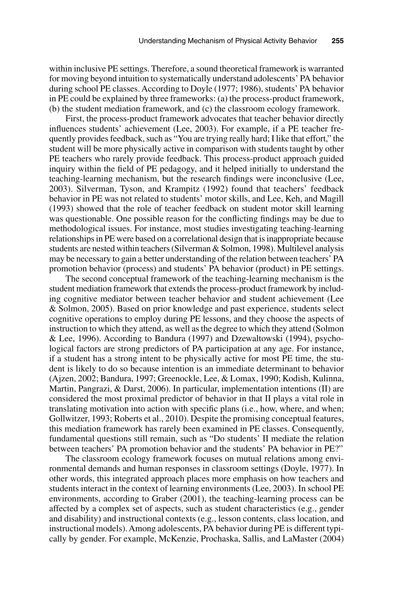within inclusive PE settings. Therefore, a sound theoretical framework is warranted for moving beyond intuition to systematically understand adolescents' PA behavior during school PE classes. According to Doyle (1977; 1986), students' PA behavior in PE could be explained by three frameworks: (a) the process-product framework, (b) the student mediation framework, and (c) the classroom ecology framework.

First, the process-product framework advocates that teacher behavior directly influences students' achievement (Lee, 2003). For example, if a PE teacher frequently provides feedback, such as "You are trying really hard; I like that effort," the student will be more physically active in comparison with students taught by other PE teachers who rarely provide feedback. This process-product approach guided inquiry within the field of PE pedagogy, and it helped initially to understand the teaching-learning mechanism, but the research findings were inconclusive (Lee, 2003). Silverman, Tyson, and Krampitz (1992) found that teachers' feedback behavior in PE was not related to students' motor skills, and Lee, Keh, and Magill (1993) showed that the role of teacher feedback on student motor skill learning was questionable. One possible reason for the conflicting findings may be due to methodological issues. For instance, most studies investigating teaching-learning relationships in PE were based on a correlational design that is inappropriate because students are nested within teachers (Silverman & Solmon, 1998). Multilevel analysis may be necessary to gain a better understanding of the relation between teachers' PA promotion behavior (process) and students' PA behavior (product) in PE settings.

The second conceptual framework of the teaching-learning mechanism is the student mediation framework that extends the process-product framework by including cognitive mediator between teacher behavior and student achievement (Lee & Solmon, 2005). Based on prior knowledge and past experience, students select cognitive operations to employ during PE lessons, and they choose the aspects of instruction to which they attend, as well as the degree to which they attend (Solmon & Lee, 1996). According to Bandura (1997) and Dzewaltowski (1994), psychological factors are strong predictors of PA participation at any age. For instance, if a student has a strong intent to be physically active for most PE time, the student is likely to do so because intention is an immediate determinant to behavior (Ajzen, 2002; Bandura, 1997; Greenockle, Lee, & Lomax, 1990; Kodish, Kulinna, Martin, Pangrazi, & Darst, 2006). In particular, implementation intentions (II) are considered the most proximal predictor of behavior in that II plays a vital role in translating motivation into action with specific plans (i.e., how, where, and when; Gollwitzer, 1993; Roberts et al., 2010). Despite the promising conceptual features, this mediation framework has rarely been examined in PE classes. Consequently, fundamental questions still remain, such as "Do students' II mediate the relation between teachers' PA promotion behavior and the students' PA behavior in PE?"

The classroom ecology framework focuses on mutual relations among environmental demands and human responses in classroom settings (Doyle, 1977). In other words, this integrated approach places more emphasis on how teachers and students interact in the context of learning environments (Lee, 2003). In school PE environments, according to Graber (2001), the teaching-learning process can be affected by a complex set of aspects, such as student characteristics (e.g., gender and disability) and instructional contexts (e.g., lesson contents, class location, and instructional models). Among adolescents, PA behavior during PE is different typically by gender. For example, McKenzie, Prochaska, Sallis, and LaMaster (2004)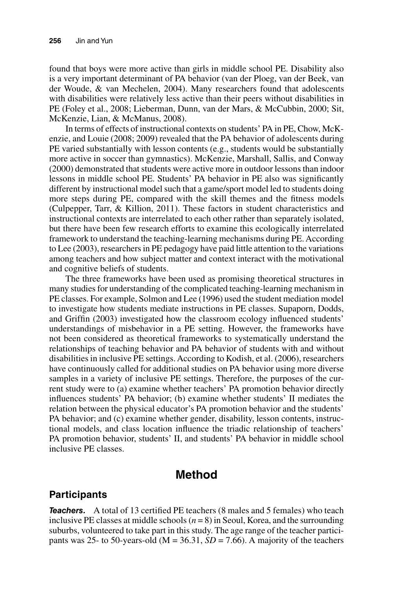found that boys were more active than girls in middle school PE. Disability also is a very important determinant of PA behavior (van der Ploeg, van der Beek, van der Woude, & van Mechelen, 2004). Many researchers found that adolescents with disabilities were relatively less active than their peers without disabilities in PE (Foley et al., 2008; Lieberman, Dunn, van der Mars, & McCubbin, 2000; Sit, McKenzie, Lian, & McManus, 2008).

In terms of effects of instructional contexts on students' PA in PE, Chow, McKenzie, and Louie (2008; 2009) revealed that the PA behavior of adolescents during PE varied substantially with lesson contents (e.g., students would be substantially more active in soccer than gymnastics). McKenzie, Marshall, Sallis, and Conway (2000) demonstrated that students were active more in outdoor lessons than indoor lessons in middle school PE. Students' PA behavior in PE also was significantly different by instructional model such that a game/sport model led to students doing more steps during PE, compared with the skill themes and the fitness models (Culpepper, Tarr, & Killion, 2011). These factors in student characteristics and instructional contexts are interrelated to each other rather than separately isolated, but there have been few research efforts to examine this ecologically interrelated framework to understand the teaching-learning mechanisms during PE. According to Lee (2003), researchers in PE pedagogy have paid little attention to the variations among teachers and how subject matter and context interact with the motivational and cognitive beliefs of students.

The three frameworks have been used as promising theoretical structures in many studies for understanding of the complicated teaching-learning mechanism in PE classes. For example, Solmon and Lee (1996) used the student mediation model to investigate how students mediate instructions in PE classes. Supaporn, Dodds, and Griffin (2003) investigated how the classroom ecology influenced students' understandings of misbehavior in a PE setting. However, the frameworks have not been considered as theoretical frameworks to systematically understand the relationships of teaching behavior and PA behavior of students with and without disabilities in inclusive PE settings. According to Kodish, et al. (2006), researchers have continuously called for additional studies on PA behavior using more diverse samples in a variety of inclusive PE settings. Therefore, the purposes of the current study were to (a) examine whether teachers' PA promotion behavior directly influences students' PA behavior; (b) examine whether students' II mediates the relation between the physical educator's PA promotion behavior and the students' PA behavior; and (c) examine whether gender, disability, lesson contents, instructional models, and class location influence the triadic relationship of teachers' PA promotion behavior, students' II, and students' PA behavior in middle school inclusive PE classes.

# **Method**

#### **Participants**

**Teachers.** A total of 13 certified PE teachers (8 males and 5 females) who teach inclusive PE classes at middle schools  $(n = 8)$  in Seoul, Korea, and the surrounding suburbs, volunteered to take part in this study. The age range of the teacher participants was 25- to 50-years-old ( $M = 36.31$ ,  $SD = 7.66$ ). A majority of the teachers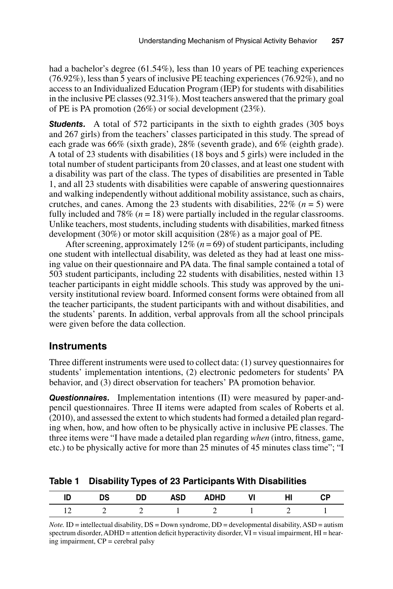had a bachelor's degree (61.54%), less than 10 years of PE teaching experiences (76.92%), less than 5 years of inclusive PE teaching experiences (76.92%), and no access to an Individualized Education Program (IEP) for students with disabilities in the inclusive PE classes (92.31%). Most teachers answered that the primary goal of PE is PA promotion (26%) or social development (23%).

**Students.** A total of 572 participants in the sixth to eighth grades (305 boys and 267 girls) from the teachers' classes participated in this study. The spread of each grade was 66% (sixth grade), 28% (seventh grade), and 6% (eighth grade). A total of 23 students with disabilities (18 boys and 5 girls) were included in the total number of student participants from 20 classes, and at least one student with a disability was part of the class. The types of disabilities are presented in Table 1, and all 23 students with disabilities were capable of answering questionnaires and walking independently without additional mobility assistance, such as chairs, crutches, and canes. Among the 23 students with disabilities,  $22\%$  ( $n = 5$ ) were fully included and 78%  $(n = 18)$  were partially included in the regular classrooms. Unlike teachers, most students, including students with disabilities, marked fitness development (30%) or motor skill acquisition (28%) as a major goal of PE.

After screening, approximately 12% (*n* = 69) of student participants, including one student with intellectual disability, was deleted as they had at least one missing value on their questionnaire and PA data. The final sample contained a total of 503 student participants, including 22 students with disabilities, nested within 13 teacher participants in eight middle schools. This study was approved by the university institutional review board. Informed consent forms were obtained from all the teacher participants, the student participants with and without disabilities, and the students' parents. In addition, verbal approvals from all the school principals were given before the data collection.

#### **Instruments**

Three different instruments were used to collect data: (1) survey questionnaires for students' implementation intentions, (2) electronic pedometers for students' PA behavior, and (3) direct observation for teachers' PA promotion behavior.

*Questionnaires.* Implementation intentions (II) were measured by paper-andpencil questionnaires. Three II items were adapted from scales of Roberts et al. (2010), and assessed the extent to which students had formed a detailed plan regarding when, how, and how often to be physically active in inclusive PE classes. The three items were "I have made a detailed plan regarding *when* (intro, fitness, game, etc.) to be physically active for more than 25 minutes of 45 minutes class time"; "I

| ID |  | зг | סאכ | VI | HL. |  |
|----|--|----|-----|----|-----|--|
|    |  |    |     |    |     |  |

**Table 1 Disability Types of 23 Participants With Disabilities**

*Note.* ID = intellectual disability, DS = Down syndrome, DD = developmental disability, ASD = autism spectrum disorder, ADHD = attention deficit hyperactivity disorder,  $\dot{VI}$  = visual impairment, HI = hearing impairment, CP = cerebral palsy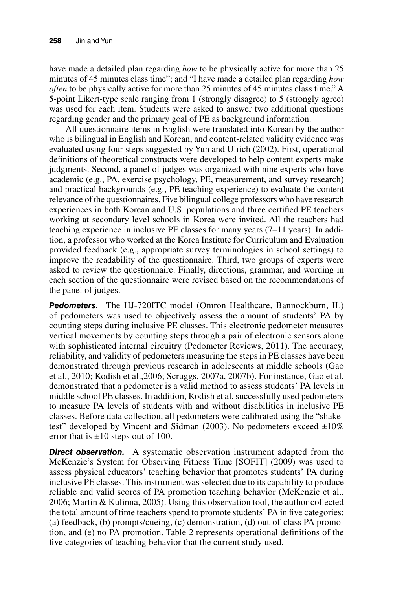have made a detailed plan regarding *how* to be physically active for more than 25 minutes of 45 minutes class time"; and "I have made a detailed plan regarding *how often* to be physically active for more than 25 minutes of 45 minutes class time." A 5-point Likert-type scale ranging from 1 (strongly disagree) to 5 (strongly agree) was used for each item. Students were asked to answer two additional questions regarding gender and the primary goal of PE as background information.

All questionnaire items in English were translated into Korean by the author who is bilingual in English and Korean, and content-related validity evidence was evaluated using four steps suggested by Yun and Ulrich (2002). First, operational definitions of theoretical constructs were developed to help content experts make judgments. Second, a panel of judges was organized with nine experts who have academic (e.g., PA, exercise psychology, PE, measurement, and survey research) and practical backgrounds (e.g., PE teaching experience) to evaluate the content relevance of the questionnaires. Five bilingual college professors who have research experiences in both Korean and U.S. populations and three certified PE teachers working at secondary level schools in Korea were invited. All the teachers had teaching experience in inclusive PE classes for many years (7–11 years). In addition, a professor who worked at the Korea Institute for Curriculum and Evaluation provided feedback (e.g., appropriate survey terminologies in school settings) to improve the readability of the questionnaire. Third, two groups of experts were asked to review the questionnaire. Finally, directions, grammar, and wording in each section of the questionnaire were revised based on the recommendations of the panel of judges.

**Pedometers.** The HJ-720ITC model (Omron Healthcare, Bannockburn, IL) of pedometers was used to objectively assess the amount of students' PA by counting steps during inclusive PE classes. This electronic pedometer measures vertical movements by counting steps through a pair of electronic sensors along with sophisticated internal circuitry (Pedometer Reviews, 2011). The accuracy, reliability, and validity of pedometers measuring the steps in PE classes have been demonstrated through previous research in adolescents at middle schools (Gao et al., 2010; Kodish et al.,2006; Scruggs, 2007a, 2007b). For instance, Gao et al. demonstrated that a pedometer is a valid method to assess students' PA levels in middle school PE classes. In addition, Kodish et al. successfully used pedometers to measure PA levels of students with and without disabilities in inclusive PE classes. Before data collection, all pedometers were calibrated using the "shaketest" developed by Vincent and Sidman (2003). No pedometers exceed  $\pm 10\%$ error that is  $\pm 10$  steps out of 100.

*Direct observation.* A systematic observation instrument adapted from the McKenzie's System for Observing Fitness Time [SOFIT] (2009) was used to assess physical educators' teaching behavior that promotes students' PA during inclusive PE classes. This instrument was selected due to its capability to produce reliable and valid scores of PA promotion teaching behavior (McKenzie et al., 2006; Martin & Kulinna, 2005). Using this observation tool, the author collected the total amount of time teachers spend to promote students' PA in five categories: (a) feedback, (b) prompts/cueing, (c) demonstration, (d) out-of-class PA promotion, and (e) no PA promotion. Table 2 represents operational definitions of the five categories of teaching behavior that the current study used.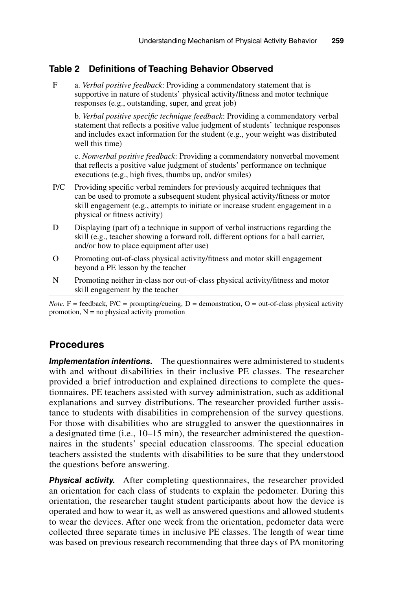#### **Table 2 Definitions of Teaching Behavior Observed**

F a. *Verbal positive feedback*: Providing a commendatory statement that is supportive in nature of students' physical activity/fitness and motor technique responses (e.g., outstanding, super, and great job)

b. *Verbal positive specific technique feedback*: Providing a commendatory verbal statement that reflects a positive value judgment of students' technique responses and includes exact information for the student (e.g., your weight was distributed well this time)

c. *Nonverbal positive feedback*: Providing a commendatory nonverbal movement that reflects a positive value judgment of students' performance on technique executions (e.g., high fives, thumbs up, and/or smiles)

- P/C Providing specific verbal reminders for previously acquired techniques that can be used to promote a subsequent student physical activity/fitness or motor skill engagement (e.g., attempts to initiate or increase student engagement in a physical or fitness activity)
- D Displaying (part of) a technique in support of verbal instructions regarding the skill (e.g., teacher showing a forward roll, different options for a ball carrier, and/or how to place equipment after use)
- O Promoting out-of-class physical activity/fitness and motor skill engagement beyond a PE lesson by the teacher
- N Promoting neither in-class nor out-of-class physical activity/fitness and motor skill engagement by the teacher

*Note.* F = feedback,  $P/C$  = prompting/cueing,  $D$  = demonstration,  $O$  = out-of-class physical activity promotion,  $N =$  no physical activity promotion

# **Procedures**

*Implementation intentions.* The questionnaires were administered to students with and without disabilities in their inclusive PE classes. The researcher provided a brief introduction and explained directions to complete the questionnaires. PE teachers assisted with survey administration, such as additional explanations and survey distributions. The researcher provided further assistance to students with disabilities in comprehension of the survey questions. For those with disabilities who are struggled to answer the questionnaires in a designated time (i.e., 10–15 min), the researcher administered the questionnaires in the students' special education classrooms. The special education teachers assisted the students with disabilities to be sure that they understood the questions before answering.

**Physical activity.** After completing questionnaires, the researcher provided an orientation for each class of students to explain the pedometer. During this orientation, the researcher taught student participants about how the device is operated and how to wear it, as well as answered questions and allowed students to wear the devices. After one week from the orientation, pedometer data were collected three separate times in inclusive PE classes. The length of wear time was based on previous research recommending that three days of PA monitoring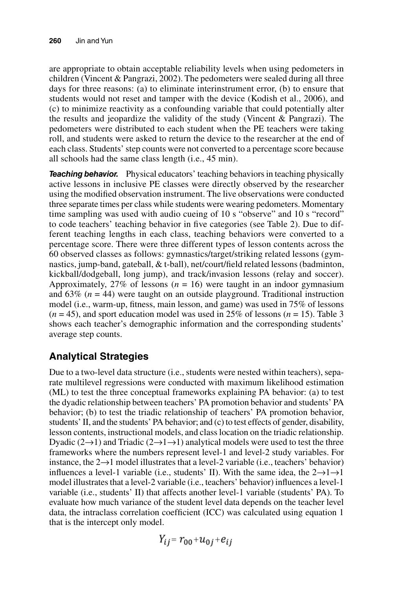are appropriate to obtain acceptable reliability levels when using pedometers in children (Vincent & Pangrazi, 2002). The pedometers were sealed during all three days for three reasons: (a) to eliminate interinstrument error, (b) to ensure that students would not reset and tamper with the device (Kodish et al., 2006), and (c) to minimize reactivity as a confounding variable that could potentially alter the results and jeopardize the validity of the study (Vincent & Pangrazi). The pedometers were distributed to each student when the PE teachers were taking roll, and students were asked to return the device to the researcher at the end of each class. Students' step counts were not converted to a percentage score because all schools had the same class length (i.e., 45 min).

**Teaching behavior.** Physical educators' teaching behaviors in teaching physically active lessons in inclusive PE classes were directly observed by the researcher using the modified observation instrument. The live observations were conducted three separate times per class while students were wearing pedometers. Momentary time sampling was used with audio cueing of 10 s "observe" and 10 s "record" to code teachers' teaching behavior in five categories (see Table 2). Due to different teaching lengths in each class, teaching behaviors were converted to a percentage score. There were three different types of lesson contents across the 60 observed classes as follows: gymnastics/target/striking related lessons (gymnastics, jump-band, gateball, & t-ball), net/court/field related lessons (badminton, kickball/dodgeball, long jump), and track/invasion lessons (relay and soccer). Approximately,  $27\%$  of lessons ( $n = 16$ ) were taught in an indoor gymnasium and  $63\%$  ( $n = 44$ ) were taught on an outside playground. Traditional instruction model (i.e., warm-up, fitness, main lesson, and game) was used in 75% of lessons  $(n = 45)$ , and sport education model was used in 25% of lessons  $(n = 15)$ . Table 3 shows each teacher's demographic information and the corresponding students' average step counts.

# **Analytical Strategies**

Due to a two-level data structure (i.e., students were nested within teachers), separate multilevel regressions were conducted with maximum likelihood estimation (ML) to test the three conceptual frameworks explaining PA behavior: (a) to test the dyadic relationship between teachers' PA promotion behavior and students' PA behavior; (b) to test the triadic relationship of teachers' PA promotion behavior, students' II, and the students' PA behavior; and (c) to test effects of gender, disability, lesson contents, instructional models, and class location on the triadic relationship. Dyadic ( $2\rightarrow 1$ ) and Triadic ( $2\rightarrow 1\rightarrow 1$ ) analytical models were used to test the three frameworks where the numbers represent level-1 and level-2 study variables. For instance, the  $2\rightarrow 1$  model illustrates that a level-2 variable (i.e., teachers' behavior) influences a level-1 variable (i.e., students' II). With the same idea, the  $2\rightarrow1\rightarrow1$ model illustrates that a level-2 variable (i.e., teachers' behavior) influences a level-1 variable (i.e., students' II) that affects another level-1 variable (students' PA). To evaluate how much variance of the student level data depends on the teacher level data, the intraclass correlation coefficient (ICC) was calculated using equation 1 that is the intercept only model.

$$
Y_{ij} = r_{00}+u_{0j}+e_{ij}
$$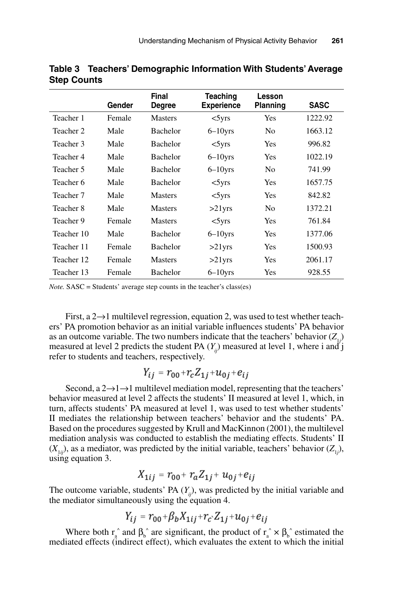|            | Gender | <b>Final</b><br><b>Degree</b> | <b>Teaching</b><br><b>Experience</b> | Lesson<br><b>Planning</b> | <b>SASC</b> |
|------------|--------|-------------------------------|--------------------------------------|---------------------------|-------------|
| Teacher 1  | Female | <b>Masters</b>                | $<$ 5 $yrs$                          | Yes                       | 1222.92     |
| Teacher 2  | Male   | <b>Bachelor</b>               | $6 - 10$ vrs                         | No                        | 1663.12     |
| Teacher 3  | Male   | Bachelor                      | $<$ 5 $yrs$                          | <b>Yes</b>                | 996.82      |
| Teacher 4  | Male   | <b>Bachelor</b>               | $6 - 10$ yrs                         | <b>Yes</b>                | 1022.19     |
| Teacher 5  | Male   | Bachelor                      | $6 - 10$ vrs                         | N <sub>0</sub>            | 741.99      |
| Teacher 6  | Male   | <b>Bachelor</b>               | $<$ 5yrs                             | <b>Yes</b>                | 1657.75     |
| Teacher 7  | Male   | <b>Masters</b>                | $<$ 5 $yrs$                          | <b>Yes</b>                | 842.82      |
| Teacher 8  | Male   | <b>Masters</b>                | $>21$ yrs                            | N <sub>0</sub>            | 1372.21     |
| Teacher 9  | Female | <b>Masters</b>                | $<$ 5 $yrs$                          | <b>Yes</b>                | 761.84      |
| Teacher 10 | Male   | <b>Bachelor</b>               | $6 - 10$ yrs                         | Yes                       | 1377.06     |
| Teacher 11 | Female | Bachelor                      | $>21$ yrs                            | <b>Yes</b>                | 1500.93     |
| Teacher 12 | Female | <b>Masters</b>                | $>21$ yrs                            | Yes                       | 2061.17     |
| Teacher 13 | Female | <b>Bachelor</b>               | $6 - 10$ vrs                         | Yes                       | 928.55      |

**Table 3 Teachers' Demographic Information With Students' Average Step Counts**

*Note.* SASC = Students' average step counts in the teacher's class(es)

First, a  $2 \rightarrow 1$  multilevel regression, equation 2, was used to test whether teachers' PA promotion behavior as an initial variable influences students' PA behavior as an outcome variable. The two numbers indicate that the teachers' behavior  $(Z_{1j})$ measured at level 2 predicts the student PA  $(Y_n)$  measured at level 1, where i and j refer to students and teachers, respectively.

$$
Y_{ij} = r_{00} + r_c Z_{1j} + u_{0j} + e_{ij}
$$

Second, a 2→1→1 multilevel mediation model, representing that the teachers' behavior measured at level 2 affects the students' II measured at level 1, which, in turn, affects students' PA measured at level 1, was used to test whether students' II mediates the relationship between teachers' behavior and the students' PA. Based on the procedures suggested by Krull and MacKinnon (2001), the multilevel mediation analysis was conducted to establish the mediating effects. Students' II  $(X_{1ij})$ , as a mediator, was predicted by the initial variable, teachers' behavior  $(Z_{1j})$ , using equation 3.

$$
X_{1ij} = r_{00} + r_a Z_{1j} + u_{0j} + e_{ij}
$$

The outcome variable, students' PA  $(Y_{ij})$ , was predicted by the initial variable and the mediator simultaneously using the equation 4.

$$
Y_{ij} = r_{00} + \beta_b X_{1ij} + r_c Z_{1j} + u_{0j} + e_{ij}
$$

Where both  $r_a^{\,\,\hat{}}$  and  $\beta_b^{\,\,\hat{}}$  are significant, the product of  $r_a^{\,\,\hat{}} \times \beta_b^{\,\hat{}}$  estimated the mediated effects (indirect effect), which evaluates the extent to which the initial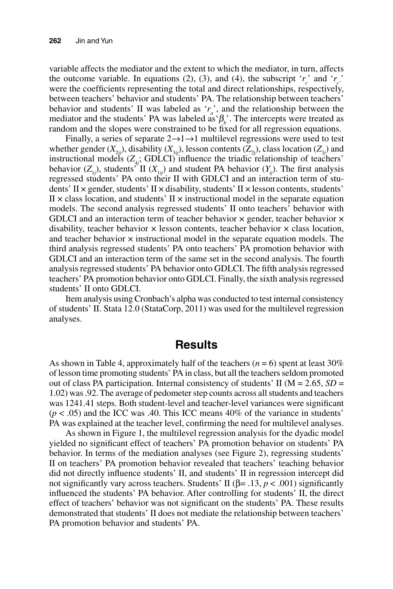variable affects the mediator and the extent to which the mediator, in turn, affects the outcome variable. In equations (2), (3), and (4), the subscript ' $r_c$ ' and ' $r_c$ ' were the coefficients representing the total and direct relationships, respectively, between teachers' behavior and students' PA. The relationship between teachers' behavior and students' II was labeled as  $\langle r_a \rangle$ , and the relationship between the mediator and the students' PA was labeled as  $\beta_b$ '. The intercepts were treated as random and the slopes were constrained to be fixed for all regression equations.

Finally, a series of separate  $2 \rightarrow 1 \rightarrow 1$  multilevel regressions were used to test whether gender  $(X_{2ij})$ , disability  $(X_{3ij})$ , lesson contents  $(Z_{2i})$ , class location  $(Z_{3j})$  and instructional models  $(Z_{4j};$  GDLCI) influence the triadic relationship of teachers' behavior  $(Z_{1j})$ , students<sup>3</sup> II  $(X_{1ij})$  and student PA behavior  $(Y_{ij})$ . The first analysis regressed students' PA onto their II with GDLCI and an interaction term of students' II  $\times$  gender, students' II  $\times$  disability, students' II  $\times$  lesson contents, students'  $II \times$  class location, and students'  $II \times$  instructional model in the separate equation models. The second analysis regressed students' II onto teachers' behavior with GDLCI and an interaction term of teacher behavior  $\times$  gender, teacher behavior  $\times$ disability, teacher behavior  $\times$  lesson contents, teacher behavior  $\times$  class location, and teacher behavior  $\times$  instructional model in the separate equation models. The third analysis regressed students' PA onto teachers' PA promotion behavior with GDLCI and an interaction term of the same set in the second analysis. The fourth analysis regressed students' PA behavior onto GDLCI. The fifth analysis regressed teachers' PA promotion behavior onto GDLCI. Finally, the sixth analysis regressed students' II onto GDLCI.

Item analysis using Cronbach's alpha was conducted to test internal consistency of students' II. Stata 12.0 (StataCorp, 2011) was used for the multilevel regression analyses.

#### **Results**

As shown in Table 4, approximately half of the teachers  $(n = 6)$  spent at least 30% of lesson time promoting students' PA in class, but all the teachers seldom promoted out of class PA participation. Internal consistency of students' II ( $M = 2.65$ ,  $SD =$ 1.02) was .92. The average of pedometer step counts across all students and teachers was 1241.41 steps. Both student-level and teacher-level variances were significant  $(p < .05)$  and the ICC was .40. This ICC means 40% of the variance in students' PA was explained at the teacher level, confirming the need for multilevel analyses.

As shown in Figure 1, the multilevel regression analysis for the dyadic model yielded no significant effect of teachers' PA promotion behavior on students' PA behavior. In terms of the mediation analyses (see Figure 2), regressing students' II on teachers' PA promotion behavior revealed that teachers' teaching behavior did not directly influence students' II, and students' II in regression intercept did not significantly vary across teachers. Students' II (β= .13, *p* < .001) significantly influenced the students' PA behavior. After controlling for students' II, the direct effect of teachers' behavior was not significant on the students' PA. These results demonstrated that students' II does not mediate the relationship between teachers' PA promotion behavior and students' PA.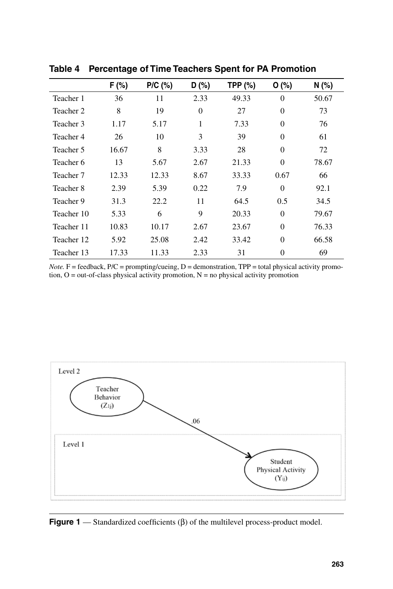|            | F(%)  | $P/C$ (%) | $D(\%)$  | TPP (%) | O(%)     | N (%) |
|------------|-------|-----------|----------|---------|----------|-------|
| Teacher 1  | 36    | 11        | 2.33     | 49.33   | $\theta$ | 50.67 |
| Teacher 2  | 8     | 19        | $\theta$ | 27      | $\Omega$ | 73    |
| Teacher 3  | 1.17  | 5.17      | 1        | 7.33    | $\Omega$ | 76    |
| Teacher 4  | 26    | 10        | 3        | 39      | $\Omega$ | 61    |
| Teacher 5  | 16.67 | 8         | 3.33     | 28      | $\Omega$ | 72    |
| Teacher 6  | 13    | 5.67      | 2.67     | 21.33   | $\theta$ | 78.67 |
| Teacher 7  | 12.33 | 12.33     | 8.67     | 33.33   | 0.67     | 66    |
| Teacher 8  | 2.39  | 5.39      | 0.22     | 7.9     | $\Omega$ | 92.1  |
| Teacher 9  | 31.3  | 22.2      | 11       | 64.5    | 0.5      | 34.5  |
| Teacher 10 | 5.33  | 6         | 9        | 20.33   | $\Omega$ | 79.67 |
| Teacher 11 | 10.83 | 10.17     | 2.67     | 23.67   | $\Omega$ | 76.33 |
| Teacher 12 | 5.92  | 25.08     | 2.42     | 33.42   | $\Omega$ | 66.58 |
| Teacher 13 | 17.33 | 11.33     | 2.33     | 31      | $\Omega$ | 69    |

**Table 4 Percentage of Time Teachers Spent for PA Promotion**

*Note.* F = feedback, P/C = prompting/cueing, D = demonstration, TPP = total physical activity promotion,  $O = out-of-class physical activity promotion$ ,  $N = no physical activity promotion$ 



**Figure 1** — Standardized coefficients (β) of the multilevel process-product model.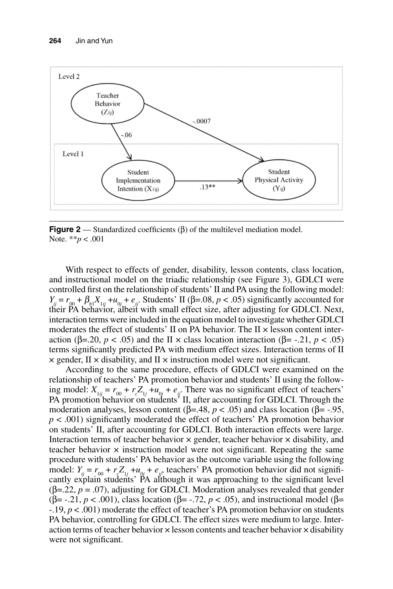

**Figure 2** — Standardized coefficients (β) of the multilevel mediation model. Note. \*\**p* < .001

With respect to effects of gender, disability, lesson contents, class location, and instructional model on the triadic relationship (see Figure 3), GDLCI were controlled first on the relationship of students' II and PA using the following model: *Y<sub>ij</sub>* =  $r_{00} + β_b$ <sub>1</sub>*X*<sub>1*ij*</sub> +  $u_{0j}$  +  $e_{ij}$ . Students' II (β=.08, *p* < .05) significantly accounted for their PA behavior, albeit with small effect size, after adjusting for GDLCI. Next, interaction terms were included in the equation model to investigate whether GDLCI moderates the effect of students' II on PA behavior. The II  $\times$  lesson content interaction ( $\beta$ =.20, *p* < .05) and the II × class location interaction ( $\beta$ = -.21, *p* < .05) terms significantly predicted PA with medium effect sizes. Interaction terms of II  $\times$  gender, II  $\times$  disability, and II  $\times$  instruction model were not significant.

According to the same procedure, effects of GDLCI were examined on the relationship of teachers' PA promotion behavior and students' II using the following model:  $X_{1ij} = r_{00} + r_c Z_{1j} + u_{0j} + e_{ij}$ . There was no significant effect of teachers' PA promotion behavior on students' II, after accounting for GDLCI. Through the moderation analyses, lesson content  $(β=48, p< .05)$  and class location  $(β=-.95,$  $p < .001$ ) significantly moderated the effect of teachers' PA promotion behavior on students' II, after accounting for GDLCI. Both interaction effects were large. Interaction terms of teacher behavior  $\times$  gender, teacher behavior  $\times$  disability, and teacher behavior  $\times$  instruction model were not significant. Repeating the same procedure with students' PA behavior as the outcome variable using the following model:  $Y_{ij} = r_{00} + r_c Z_{1j} + u_{0j} + e_{ij}$ , teachers' PA promotion behavior did not significantly explain students' PA although it was approaching to the significant level ( $\beta$ =.22,  $p = .07$ ), adjusting for GDLCI. Moderation analyses revealed that gender ( $\beta$ = -.21, *p* < .001), class location ( $\beta$ = -.72, *p* < .05), and instructional model ( $\beta$ = -.19, *p* < .001) moderate the effect of teacher's PA promotion behavior on students PA behavior, controlling for GDLCI. The effect sizes were medium to large. Interaction terms of teacher behavior  $\times$  lesson contents and teacher behavior  $\times$  disability were not significant.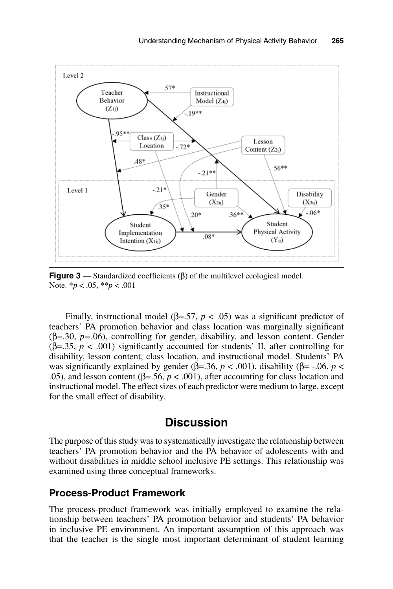

**Figure 3** — Standardized coefficients (β) of the multilevel ecological model. Note. \**p* < .05, \*\**p* < .001

Finally, instructional model ( $\beta$ =.57,  $p < .05$ ) was a significant predictor of teachers' PA promotion behavior and class location was marginally significant (β=.30, *p=*.06), controlling for gender, disability, and lesson content. Gender ( $\beta$ =.35,  $p < .001$ ) significantly accounted for students' II, after controlling for disability, lesson content, class location, and instructional model. Students' PA was significantly explained by gender ( $\beta$ =.36,  $p$  < .001), disability ( $\beta$ = -.06,  $p$  < .05), and lesson content ( $\beta$ =.56,  $p < .001$ ), after accounting for class location and instructional model. The effect sizes of each predictor were medium to large, except for the small effect of disability.

### **Discussion**

The purpose of this study was to systematically investigate the relationship between teachers' PA promotion behavior and the PA behavior of adolescents with and without disabilities in middle school inclusive PE settings. This relationship was examined using three conceptual frameworks.

#### **Process-Product Framework**

The process-product framework was initially employed to examine the relationship between teachers' PA promotion behavior and students' PA behavior in inclusive PE environment. An important assumption of this approach was that the teacher is the single most important determinant of student learning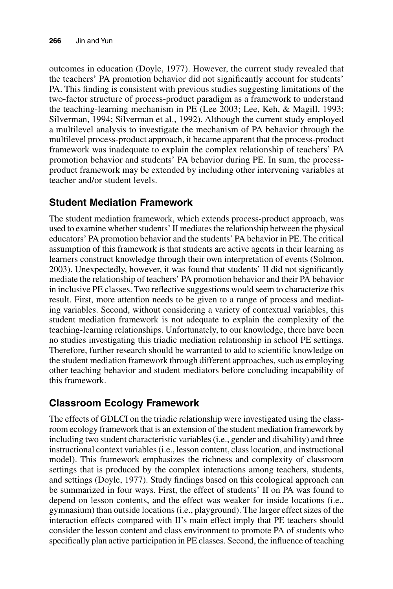outcomes in education (Doyle, 1977). However, the current study revealed that the teachers' PA promotion behavior did not significantly account for students' PA. This finding is consistent with previous studies suggesting limitations of the two-factor structure of process-product paradigm as a framework to understand the teaching-learning mechanism in PE (Lee 2003; Lee, Keh, & Magill, 1993; Silverman, 1994; Silverman et al., 1992). Although the current study employed a multilevel analysis to investigate the mechanism of PA behavior through the multilevel process-product approach, it became apparent that the process-product framework was inadequate to explain the complex relationship of teachers' PA promotion behavior and students' PA behavior during PE. In sum, the processproduct framework may be extended by including other intervening variables at teacher and/or student levels.

# **Student Mediation Framework**

The student mediation framework, which extends process-product approach, was used to examine whether students' II mediates the relationship between the physical educators' PA promotion behavior and the students' PA behavior in PE. The critical assumption of this framework is that students are active agents in their learning as learners construct knowledge through their own interpretation of events (Solmon, 2003). Unexpectedly, however, it was found that students' II did not significantly mediate the relationship of teachers' PA promotion behavior and their PA behavior in inclusive PE classes. Two reflective suggestions would seem to characterize this result. First, more attention needs to be given to a range of process and mediating variables. Second, without considering a variety of contextual variables, this student mediation framework is not adequate to explain the complexity of the teaching-learning relationships. Unfortunately, to our knowledge, there have been no studies investigating this triadic mediation relationship in school PE settings. Therefore, further research should be warranted to add to scientific knowledge on the student mediation framework through different approaches, such as employing other teaching behavior and student mediators before concluding incapability of this framework.

# **Classroom Ecology Framework**

The effects of GDLCI on the triadic relationship were investigated using the classroom ecology framework that is an extension of the student mediation framework by including two student characteristic variables (i.e., gender and disability) and three instructional context variables (i.e., lesson content, class location, and instructional model). This framework emphasizes the richness and complexity of classroom settings that is produced by the complex interactions among teachers, students, and settings (Doyle, 1977). Study findings based on this ecological approach can be summarized in four ways. First, the effect of students' II on PA was found to depend on lesson contents, and the effect was weaker for inside locations (i.e., gymnasium) than outside locations (i.e., playground). The larger effect sizes of the interaction effects compared with II's main effect imply that PE teachers should consider the lesson content and class environment to promote PA of students who specifically plan active participation in PE classes. Second, the influence of teaching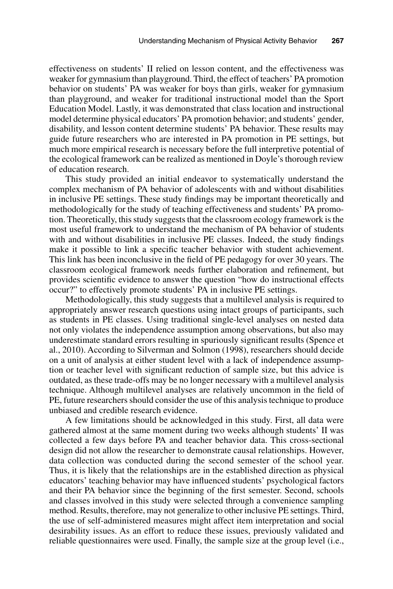effectiveness on students' II relied on lesson content, and the effectiveness was weaker for gymnasium than playground. Third, the effect of teachers' PA promotion behavior on students' PA was weaker for boys than girls, weaker for gymnasium than playground, and weaker for traditional instructional model than the Sport Education Model. Lastly, it was demonstrated that class location and instructional model determine physical educators' PA promotion behavior; and students' gender, disability, and lesson content determine students' PA behavior. These results may guide future researchers who are interested in PA promotion in PE settings, but much more empirical research is necessary before the full interpretive potential of the ecological framework can be realized as mentioned in Doyle's thorough review of education research.

This study provided an initial endeavor to systematically understand the complex mechanism of PA behavior of adolescents with and without disabilities in inclusive PE settings. These study findings may be important theoretically and methodologically for the study of teaching effectiveness and students' PA promotion. Theoretically, this study suggests that the classroom ecology framework is the most useful framework to understand the mechanism of PA behavior of students with and without disabilities in inclusive PE classes. Indeed, the study findings make it possible to link a specific teacher behavior with student achievement. This link has been inconclusive in the field of PE pedagogy for over 30 years. The classroom ecological framework needs further elaboration and refinement, but provides scientific evidence to answer the question "how do instructional effects occur?" to effectively promote students' PA in inclusive PE settings.

Methodologically, this study suggests that a multilevel analysis is required to appropriately answer research questions using intact groups of participants, such as students in PE classes. Using traditional single-level analyses on nested data not only violates the independence assumption among observations, but also may underestimate standard errors resulting in spuriously significant results (Spence et al., 2010). According to Silverman and Solmon (1998), researchers should decide on a unit of analysis at either student level with a lack of independence assumption or teacher level with significant reduction of sample size, but this advice is outdated, as these trade-offs may be no longer necessary with a multilevel analysis technique. Although multilevel analyses are relatively uncommon in the field of PE, future researchers should consider the use of this analysis technique to produce unbiased and credible research evidence.

A few limitations should be acknowledged in this study. First, all data were gathered almost at the same moment during two weeks although students' II was collected a few days before PA and teacher behavior data. This cross-sectional design did not allow the researcher to demonstrate causal relationships. However, data collection was conducted during the second semester of the school year. Thus, it is likely that the relationships are in the established direction as physical educators' teaching behavior may have influenced students' psychological factors and their PA behavior since the beginning of the first semester. Second, schools and classes involved in this study were selected through a convenience sampling method. Results, therefore, may not generalize to other inclusive PE settings. Third, the use of self-administered measures might affect item interpretation and social desirability issues. As an effort to reduce these issues, previously validated and reliable questionnaires were used. Finally, the sample size at the group level (i.e.,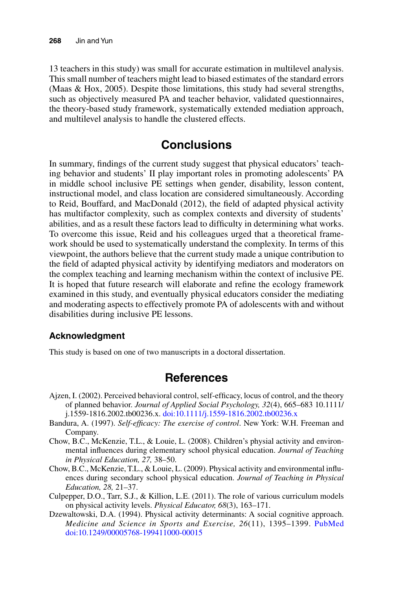13 teachers in this study) was small for accurate estimation in multilevel analysis. This small number of teachers might lead to biased estimates of the standard errors (Maas & Hox, 2005). Despite those limitations, this study had several strengths, such as objectively measured PA and teacher behavior, validated questionnaires, the theory-based study framework, systematically extended mediation approach, and multilevel analysis to handle the clustered effects.

# **Conclusions**

In summary, findings of the current study suggest that physical educators' teaching behavior and students' II play important roles in promoting adolescents' PA in middle school inclusive PE settings when gender, disability, lesson content, instructional model, and class location are considered simultaneously. According to Reid, Bouffard, and MacDonald (2012), the field of adapted physical activity has multifactor complexity, such as complex contexts and diversity of students' abilities, and as a result these factors lead to difficulty in determining what works. To overcome this issue, Reid and his colleagues urged that a theoretical framework should be used to systematically understand the complexity. In terms of this viewpoint, the authors believe that the current study made a unique contribution to the field of adapted physical activity by identifying mediators and moderators on the complex teaching and learning mechanism within the context of inclusive PE. It is hoped that future research will elaborate and refine the ecology framework examined in this study, and eventually physical educators consider the mediating and moderating aspects to effectively promote PA of adolescents with and without disabilities during inclusive PE lessons.

#### **Acknowledgment**

This study is based on one of two manuscripts in a doctoral dissertation.

# **References**

- Ajzen, I. (2002). Perceived behavioral control, self-efficacy, locus of control, and the theory of planned behavior. *Journal of Applied Social Psychology, 32*(4), 665–683 10.1111/ j.1559-1816.2002.tb00236.x. [doi:10.1111/j.1559-1816.2002.tb00236.x](http://dx.doi.org/10.1111/j.1559-1816.2002.tb00236.x)
- Bandura, A. (1997). *Self-efficacy: The exercise of control*. New York: W.H. Freeman and Company.
- Chow, B.C., McKenzie, T.L., & Louie, L. (2008). Children's physial activity and environmental influences during elementary school physical education. *Journal of Teaching in Physical Education, 27,* 38–50.
- Chow, B.C., McKenzie, T.L., & Louie, L. (2009). Physical activity and environmental influences during secondary school physical education. *Journal of Teaching in Physical Education, 28,* 21–37.
- Culpepper, D.O., Tarr, S.J., & Killion, L.E. (2011). The role of various curriculum models on physical activity levels. *Physical Educator, 68*(3), 163–171.
- Dzewaltowski, D.A. (1994). Physical activity determinants: A social cognitive approach. *Medicine and Science in Sports and Exercise, 26*(11), 1395–1399. [PubMed](http://www.ncbi.nlm.nih.gov/entrez/query.fcgi?cmd=Retrieve&db=PubMed&list_uids=7837961&dopt=Abstract) [doi:10.1249/00005768-199411000-00015](http://dx.doi.org/10.1249/00005768-199411000-00015)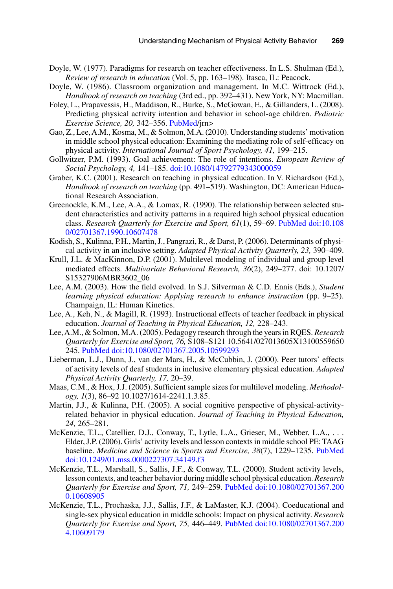- Doyle, W. (1977). Paradigms for research on teacher effectiveness. In L.S. Shulman (Ed.), *Review of research in education* (Vol. 5, pp. 163–198). Itasca, IL: Peacock.
- Doyle, W. (1986). Classroom organization and management. In M.C. Wittrock (Ed.), *Handbook of research on teaching* (3rd ed., pp. 392–431). New York, NY: Macmillan.
- Foley, L., Prapavessis, H., Maddison, R., Burke, S., McGowan, E., & Gillanders, L. (2008). Predicting physical activity intention and behavior in school-age children. *Pediatric Exercise Science, 20,* 342–356[. PubMed/](http://www.ncbi.nlm.nih.gov/entrez/query.fcgi?cmd=Retrieve&db=PubMed&list_uids=18714123&dopt=Abstract)jrn>
- Gao, Z., Lee, A.M., Kosma, M., & Solmon, M.A. (2010). Understanding students' motivation in middle school physical education: Examining the mediating role of self-efficacy on physical activity. *International Journal of Sport Psychology, 41,* 199–215.
- Gollwitzer, P.M. (1993). Goal achievement: The role of intentions. *European Review of Social Psychology, 4,* 141–185. [doi:10.1080/14792779343000059](http://dx.doi.org/10.1080/14792779343000059)
- Graber, K.C. (2001). Research on teaching in physical education. In V. Richardson (Ed.), *Handbook of research on teaching* (pp. 491–519). Washington, DC: American Educational Research Association.
- Greenockle, K.M., Lee, A.A., & Lomax, R. (1990). The relationship between selected student characteristics and activity patterns in a required high school physical education class. *Research Quarterly for Exercise and Sport, 61*(1), 59–69. [PubMed](http://www.ncbi.nlm.nih.gov/entrez/query.fcgi?cmd=Retrieve&db=PubMed&list_uids=2091167&dopt=Abstract) [doi:10.108](http://dx.doi.org/10.1080/02701367.1990.10607478) [0/02701367.1990.10607478](http://dx.doi.org/10.1080/02701367.1990.10607478)
- Kodish, S., Kulinna, P.H., Martin, J., Pangrazi, R., & Darst, P. (2006). Determinants of physical activity in an inclusive setting. *Adapted Physical Activity Quarterly, 23,* 390–409.
- Krull, J.L. & MacKinnon, D.P. (2001). Multilevel modeling of individual and group level mediated effects. *Multivariate Behavioral Research, 36*(2), 249–277. doi: 10.1207/ S15327906MBR3602\_06
- Lee, A.M. (2003). How the field evolved. In S.J. Silverman & C.D. Ennis (Eds.), *Student learning physical education: Applying research to enhance instruction* (pp. 9–25). Champaign, IL: Human Kinetics.
- Lee, A., Keh, N., & Magill, R. (1993). Instructional effects of teacher feedback in physical education. *Journal of Teaching in Physical Education, 12,* 228–243.
- Lee, A.M., & Solmon, M.A. (2005). Pedagogy research through the years in RQES. *Research Quarterly for Exercise and Sport, 76,* S108–S121 10.5641/027013605X13100559650 245. [PubMed](http://www.ncbi.nlm.nih.gov/entrez/query.fcgi?cmd=Retrieve&db=PubMed&list_uids=16122134&dopt=Abstract) [doi:10.1080/02701367.2005.10599293](http://dx.doi.org/10.1080/02701367.2005.10599293)
- Lieberman, L.J., Dunn, J., van der Mars, H., & McCubbin, J. (2000). Peer tutors' effects of activity levels of deaf students in inclusive elementary physical education. *Adapted Physical Activity Quarterly, 17,* 20–39.
- Maas, C.M., & Hox, J.J. (2005). Sufficient sample sizes for multilevel modeling. *Methodology, 1*(3), 86–92 10.1027/1614-2241.1.3.85.
- Martin, J.J., & Kulinna, P.H. (2005). A social cognitive perspective of physical-activityrelated behavior in physical education. *Journal of Teaching in Physical Education, 24,* 265–281.
- McKenzie, T.L., Catellier, D.J., Conway, T., Lytle, L.A., Grieser, M., Webber, L.A., . . . Elder, J.P. (2006). Girls' activity levels and lesson contexts in middle school PE: TAAG baseline. *Medicine and Science in Sports and Exercise, 38*(7), 1229–1235. [PubMed](http://www.ncbi.nlm.nih.gov/entrez/query.fcgi?cmd=Retrieve&db=PubMed&list_uids=16826019&dopt=Abstract) [doi:10.1249/01.mss.0000227307.34149.f3](http://dx.doi.org/10.1249/01.mss.0000227307.34149.f3)
- McKenzie, T.L., Marshall, S., Sallis, J.F., & Conway, T.L. (2000). Student activity levels, lesson contexts, and teacher behavior during middle school physical education. *Research Quarterly for Exercise and Sport, 71,* 249–259. [PubMed](http://www.ncbi.nlm.nih.gov/entrez/query.fcgi?cmd=Retrieve&db=PubMed&list_uids=10999262&dopt=Abstract) [doi:10.1080/02701367.200](http://dx.doi.org/10.1080/02701367.2000.10608905) [0.10608905](http://dx.doi.org/10.1080/02701367.2000.10608905)
- McKenzie, T.L., Prochaska, J.J., Sallis, J.F., & LaMaster, K.J. (2004). Coeducational and single-sex physical education in middle schools: Impact on physical activity. *Research Quarterly for Exercise and Sport, 75,* 446–449. [PubMed](http://www.ncbi.nlm.nih.gov/entrez/query.fcgi?cmd=Retrieve&db=PubMed&list_uids=15673045&dopt=Abstract) [doi:10.1080/02701367.200](http://dx.doi.org/10.1080/02701367.2004.10609179) [4.10609179](http://dx.doi.org/10.1080/02701367.2004.10609179)